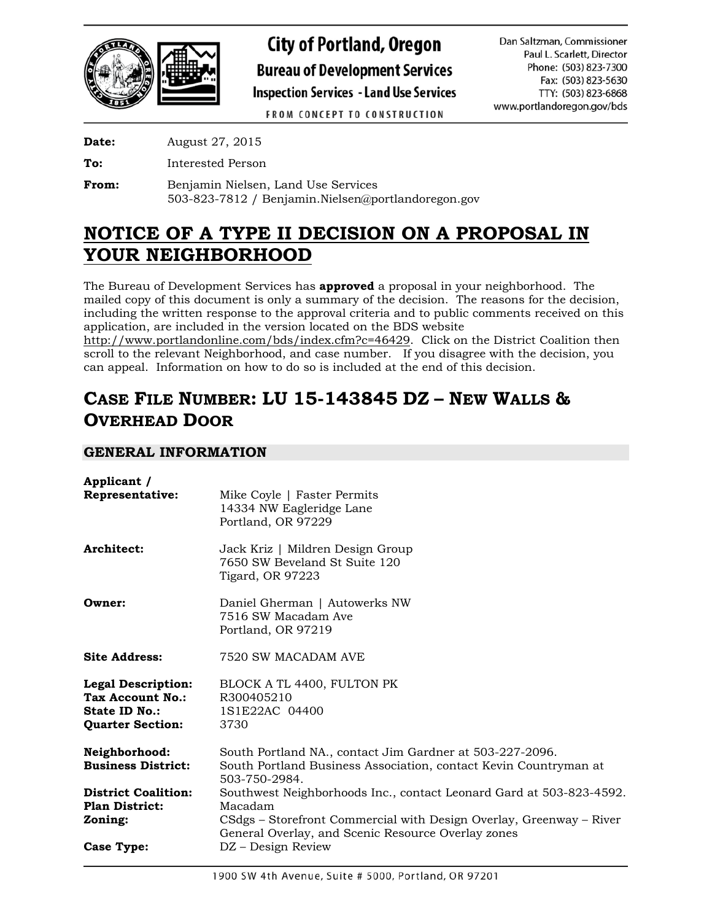

**City of Portland, Oregon Bureau of Development Services Inspection Services - Land Use Services** 

Dan Saltzman, Commissioner Paul L. Scarlett, Director Phone: (503) 823-7300 Fax: (503) 823-5630 TTY: (503) 823-6868 www.portlandoregon.gov/bds

**FROM CONCEPT TO CONSTRUCTION** 

**Date:** August 27, 2015

**To:** Interested Person

**From:** Benjamin Nielsen, Land Use Services 503-823-7812 / Benjamin.Nielsen@portlandoregon.gov

# **NOTICE OF A TYPE II DECISION ON A PROPOSAL IN YOUR NEIGHBORHOOD**

The Bureau of Development Services has **approved** a proposal in your neighborhood. The mailed copy of this document is only a summary of the decision. The reasons for the decision, including the written response to the approval criteria and to public comments received on this application, are included in the version located on the BDS website

[http://www.portlandonline.com/bds/index.cfm?c=46429.](http://www.portlandonline.com/bds/index.cfm?c=46429) Click on the District Coalition then scroll to the relevant Neighborhood, and case number. If you disagree with the decision, you can appeal. Information on how to do so is included at the end of this decision.

# **CASE FILE NUMBER: LU 15-143845 DZ – NEW WALLS & OVERHEAD DOOR**

# **GENERAL INFORMATION**

| Applicant /                                                                               |                                                                                                                                                                                                                                   |
|-------------------------------------------------------------------------------------------|-----------------------------------------------------------------------------------------------------------------------------------------------------------------------------------------------------------------------------------|
| Representative:                                                                           | Mike Coyle   Faster Permits<br>14334 NW Eagleridge Lane<br>Portland, OR 97229                                                                                                                                                     |
| Architect:                                                                                | Jack Kriz   Mildren Design Group<br>7650 SW Beveland St Suite 120<br>Tigard, OR 97223                                                                                                                                             |
| Owner:                                                                                    | Daniel Gherman   Autowerks NW<br>7516 SW Macadam Ave<br>Portland, OR 97219                                                                                                                                                        |
| <b>Site Address:</b>                                                                      | 7520 SW MACADAM AVE                                                                                                                                                                                                               |
| <b>Legal Description:</b><br>Tax Account No.:<br>State ID No.:<br><b>Quarter Section:</b> | BLOCK A TL 4400, FULTON PK<br>R300405210<br>1S1E22AC 04400<br>3730                                                                                                                                                                |
| Neighborhood:<br><b>Business District:</b>                                                | South Portland NA., contact Jim Gardner at 503-227-2096.<br>South Portland Business Association, contact Kevin Countryman at<br>503-750-2984.                                                                                     |
| <b>District Coalition:</b><br><b>Plan District:</b><br>Zoning:<br>Case Type:              | Southwest Neighborhoods Inc., contact Leonard Gard at 503-823-4592.<br>Macadam<br>CSdgs - Storefront Commercial with Design Overlay, Greenway - River<br>General Overlay, and Scenic Resource Overlay zones<br>DZ – Design Review |
|                                                                                           |                                                                                                                                                                                                                                   |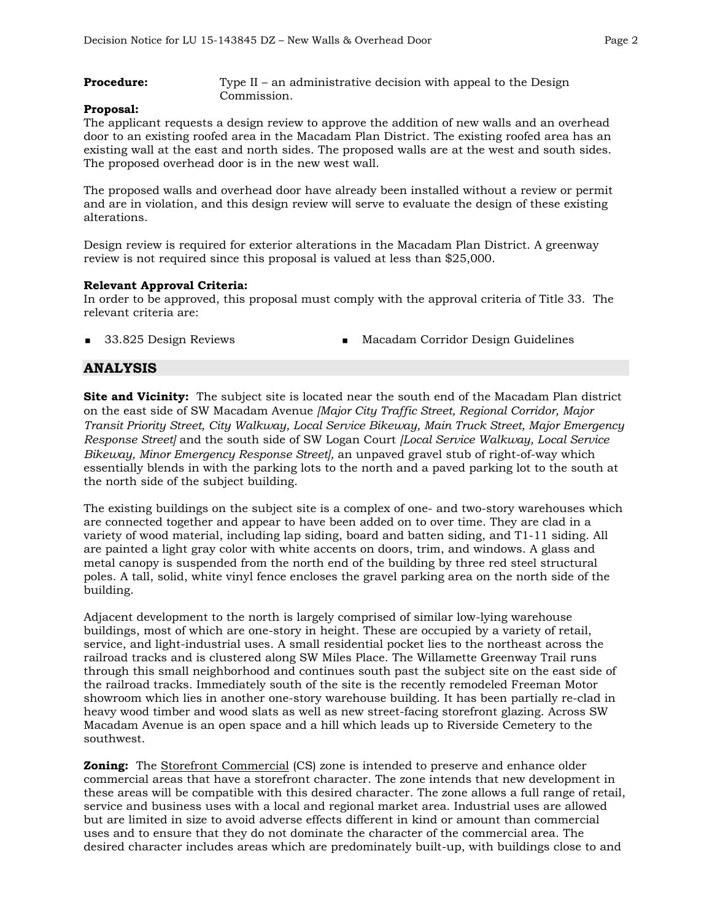**Procedure:** Type II – an administrative decision with appeal to the Design Commission.

#### **Proposal:**

The applicant requests a design review to approve the addition of new walls and an overhead door to an existing roofed area in the Macadam Plan District. The existing roofed area has an existing wall at the east and north sides. The proposed walls are at the west and south sides. The proposed overhead door is in the new west wall.

The proposed walls and overhead door have already been installed without a review or permit and are in violation, and this design review will serve to evaluate the design of these existing alterations.

Design review is required for exterior alterations in the Macadam Plan District. A greenway review is not required since this proposal is valued at less than \$25,000.

#### **Relevant Approval Criteria:**

In order to be approved, this proposal must comply with the approval criteria of Title 33. The relevant criteria are:

33.825 Design Reviews Macadam Corridor Design Guidelines

#### **ANALYSIS**

**Site and Vicinity:** The subject site is located near the south end of the Macadam Plan district on the east side of SW Macadam Avenue *[Major City Traffic Street, Regional Corridor, Major Transit Priority Street, City Walkway, Local Service Bikeway, Main Truck Street, Major Emergency Response Street]* and the south side of SW Logan Court *[Local Service Walkway, Local Service Bikeway, Minor Emergency Response Street],* an unpaved gravel stub of right-of-way which essentially blends in with the parking lots to the north and a paved parking lot to the south at the north side of the subject building.

The existing buildings on the subject site is a complex of one- and two-story warehouses which are connected together and appear to have been added on to over time. They are clad in a variety of wood material, including lap siding, board and batten siding, and T1-11 siding. All are painted a light gray color with white accents on doors, trim, and windows. A glass and metal canopy is suspended from the north end of the building by three red steel structural poles. A tall, solid, white vinyl fence encloses the gravel parking area on the north side of the building.

Adjacent development to the north is largely comprised of similar low-lying warehouse buildings, most of which are one-story in height. These are occupied by a variety of retail, service, and light-industrial uses. A small residential pocket lies to the northeast across the railroad tracks and is clustered along SW Miles Place. The Willamette Greenway Trail runs through this small neighborhood and continues south past the subject site on the east side of the railroad tracks. Immediately south of the site is the recently remodeled Freeman Motor showroom which lies in another one-story warehouse building. It has been partially re-clad in heavy wood timber and wood slats as well as new street-facing storefront glazing. Across SW Macadam Avenue is an open space and a hill which leads up to Riverside Cemetery to the southwest.

**Zoning:** The Storefront Commercial (CS) zone is intended to preserve and enhance older commercial areas that have a storefront character. The zone intends that new development in these areas will be compatible with this desired character. The zone allows a full range of retail, service and business uses with a local and regional market area. Industrial uses are allowed but are limited in size to avoid adverse effects different in kind or amount than commercial uses and to ensure that they do not dominate the character of the commercial area. The desired character includes areas which are predominately built-up, with buildings close to and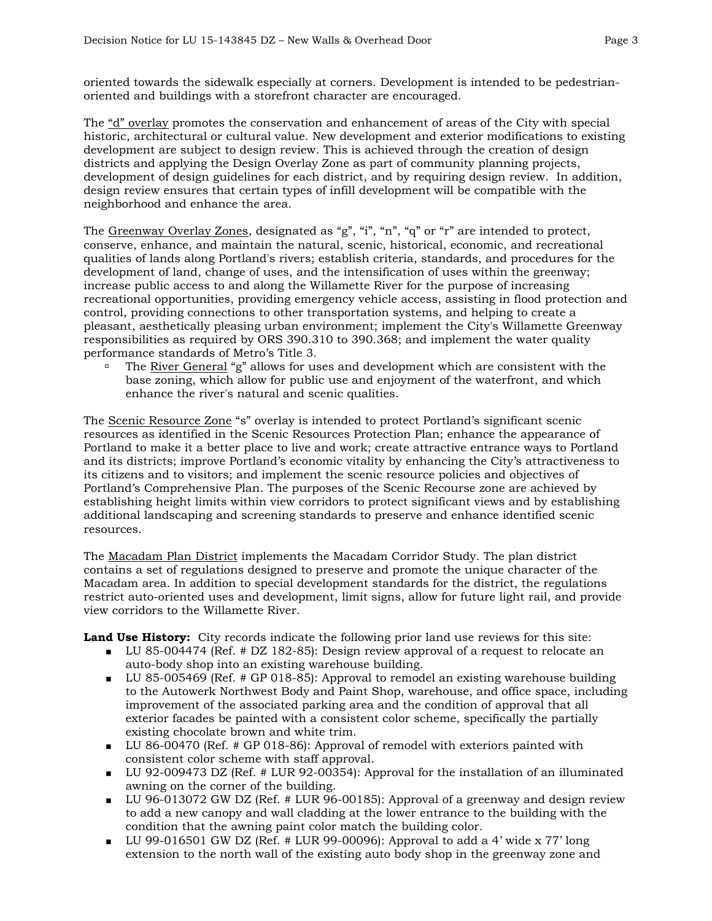oriented towards the sidewalk especially at corners. Development is intended to be pedestrianoriented and buildings with a storefront character are encouraged.

The "d" overlay promotes the conservation and enhancement of areas of the City with special historic, architectural or cultural value. New development and exterior modifications to existing development are subject to design review. This is achieved through the creation of design districts and applying the Design Overlay Zone as part of community planning projects, development of design guidelines for each district, and by requiring design review. In addition, design review ensures that certain types of infill development will be compatible with the neighborhood and enhance the area.

The Greenway Overlay Zones, designated as "g", "i", "n", "q" or "r" are intended to protect, conserve, enhance, and maintain the natural, scenic, historical, economic, and recreational qualities of lands along Portland's rivers; establish criteria, standards, and procedures for the development of land, change of uses, and the intensification of uses within the greenway; increase public access to and along the Willamette River for the purpose of increasing recreational opportunities, providing emergency vehicle access, assisting in flood protection and control, providing connections to other transportation systems, and helping to create a pleasant, aesthetically pleasing urban environment; implement the City's Willamette Greenway responsibilities as required by ORS 390.310 to 390.368; and implement the water quality performance standards of Metro's Title 3.

 The River General "g" allows for uses and development which are consistent with the base zoning, which allow for public use and enjoyment of the waterfront, and which enhance the river's natural and scenic qualities.

The Scenic Resource Zone "s" overlay is intended to protect Portland's significant scenic resources as identified in the Scenic Resources Protection Plan; enhance the appearance of Portland to make it a better place to live and work; create attractive entrance ways to Portland and its districts; improve Portland's economic vitality by enhancing the City's attractiveness to its citizens and to visitors; and implement the scenic resource policies and objectives of Portland's Comprehensive Plan. The purposes of the Scenic Recourse zone are achieved by establishing height limits within view corridors to protect significant views and by establishing additional landscaping and screening standards to preserve and enhance identified scenic resources.

The Macadam Plan District implements the Macadam Corridor Study. The plan district contains a set of regulations designed to preserve and promote the unique character of the Macadam area. In addition to special development standards for the district, the regulations restrict auto-oriented uses and development, limit signs, allow for future light rail, and provide view corridors to the Willamette River.

**Land Use History:** City records indicate the following prior land use reviews for this site:

- LU 85-004474 (Ref. # DZ 182-85): Design review approval of a request to relocate an auto-body shop into an existing warehouse building.
- LU 85-005469 (Ref. # GP 018-85): Approval to remodel an existing warehouse building to the Autowerk Northwest Body and Paint Shop, warehouse, and office space, including improvement of the associated parking area and the condition of approval that all exterior facades be painted with a consistent color scheme, specifically the partially existing chocolate brown and white trim.
- LU 86-00470 (Ref. # GP 018-86): Approval of remodel with exteriors painted with consistent color scheme with staff approval.
- LU 92-009473 DZ (Ref. # LUR 92-00354): Approval for the installation of an illuminated awning on the corner of the building.
- LU 96-013072 GW DZ (Ref. # LUR 96-00185): Approval of a greenway and design review to add a new canopy and wall cladding at the lower entrance to the building with the condition that the awning paint color match the building color.
- U 99-016501 GW DZ (Ref. # LUR 99-00096): Approval to add a 4' wide x 77' long extension to the north wall of the existing auto body shop in the greenway zone and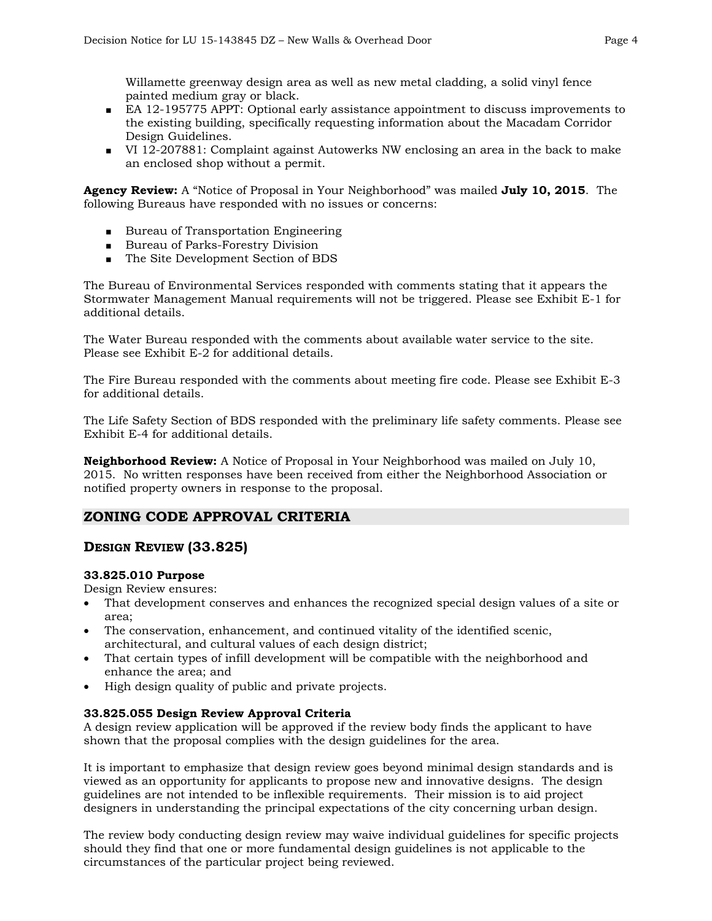Willamette greenway design area as well as new metal cladding, a solid vinyl fence painted medium gray or black.

- EA 12-195775 APPT: Optional early assistance appointment to discuss improvements to the existing building, specifically requesting information about the Macadam Corridor Design Guidelines.
- VI 12-207881: Complaint against Autowerks NW enclosing an area in the back to make an enclosed shop without a permit.

**Agency Review:** A "Notice of Proposal in Your Neighborhood" was mailed **July 10, 2015**. The following Bureaus have responded with no issues or concerns:

- Bureau of Transportation Engineering
- Bureau of Parks-Forestry Division
- The Site Development Section of BDS

The Bureau of Environmental Services responded with comments stating that it appears the Stormwater Management Manual requirements will not be triggered. Please see Exhibit E-1 for additional details.

The Water Bureau responded with the comments about available water service to the site. Please see Exhibit E-2 for additional details.

The Fire Bureau responded with the comments about meeting fire code. Please see Exhibit E-3 for additional details.

The Life Safety Section of BDS responded with the preliminary life safety comments. Please see Exhibit E-4 for additional details.

**Neighborhood Review:** A Notice of Proposal in Your Neighborhood was mailed on July 10, 2015. No written responses have been received from either the Neighborhood Association or notified property owners in response to the proposal.

# **ZONING CODE APPROVAL CRITERIA**

# **DESIGN REVIEW (33.825)**

#### **33.825.010 Purpose**

Design Review ensures:

- That development conserves and enhances the recognized special design values of a site or area;
- The conservation, enhancement, and continued vitality of the identified scenic, architectural, and cultural values of each design district;
- That certain types of infill development will be compatible with the neighborhood and enhance the area; and
- High design quality of public and private projects.

#### **33.825.055 Design Review Approval Criteria**

A design review application will be approved if the review body finds the applicant to have shown that the proposal complies with the design guidelines for the area.

It is important to emphasize that design review goes beyond minimal design standards and is viewed as an opportunity for applicants to propose new and innovative designs. The design guidelines are not intended to be inflexible requirements. Their mission is to aid project designers in understanding the principal expectations of the city concerning urban design.

The review body conducting design review may waive individual guidelines for specific projects should they find that one or more fundamental design guidelines is not applicable to the circumstances of the particular project being reviewed.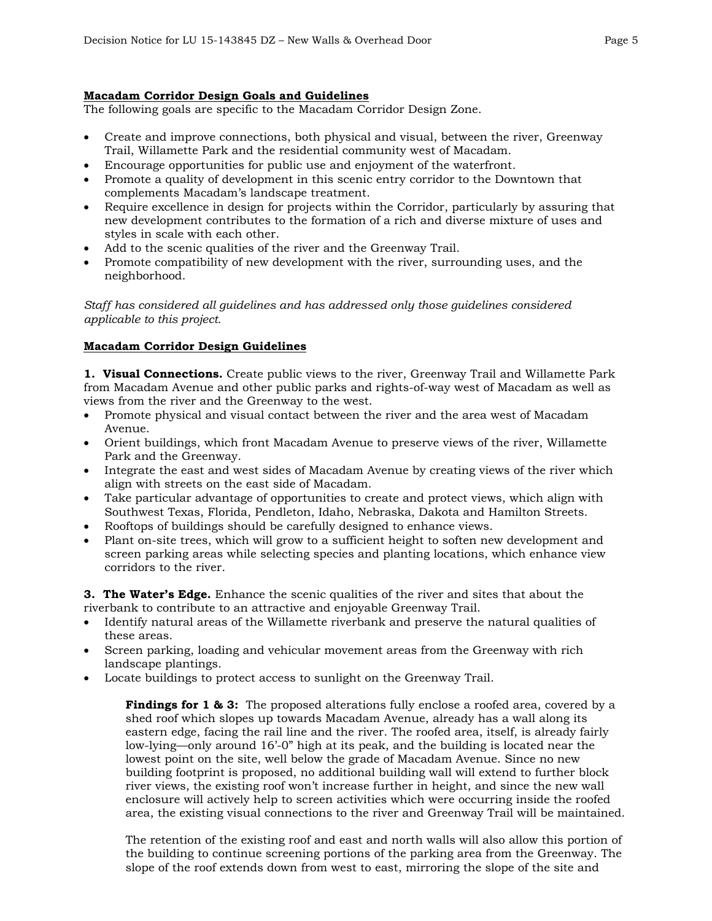#### **Macadam Corridor Design Goals and Guidelines**

The following goals are specific to the Macadam Corridor Design Zone.

- Create and improve connections, both physical and visual, between the river, Greenway Trail, Willamette Park and the residential community west of Macadam.
- Encourage opportunities for public use and enjoyment of the waterfront.
- Promote a quality of development in this scenic entry corridor to the Downtown that complements Macadam's landscape treatment.
- Require excellence in design for projects within the Corridor, particularly by assuring that new development contributes to the formation of a rich and diverse mixture of uses and styles in scale with each other.
- Add to the scenic qualities of the river and the Greenway Trail.
- Promote compatibility of new development with the river, surrounding uses, and the neighborhood.

*Staff has considered all guidelines and has addressed only those guidelines considered applicable to this project.*

#### **Macadam Corridor Design Guidelines**

**1. Visual Connections.** Create public views to the river, Greenway Trail and Willamette Park from Macadam Avenue and other public parks and rights-of-way west of Macadam as well as views from the river and the Greenway to the west.

- Promote physical and visual contact between the river and the area west of Macadam Avenue.
- Orient buildings, which front Macadam Avenue to preserve views of the river, Willamette Park and the Greenway.
- Integrate the east and west sides of Macadam Avenue by creating views of the river which align with streets on the east side of Macadam.
- Take particular advantage of opportunities to create and protect views, which align with Southwest Texas, Florida, Pendleton, Idaho, Nebraska, Dakota and Hamilton Streets.
- Rooftops of buildings should be carefully designed to enhance views.
- Plant on-site trees, which will grow to a sufficient height to soften new development and screen parking areas while selecting species and planting locations, which enhance view corridors to the river.

**3. The Water's Edge.** Enhance the scenic qualities of the river and sites that about the riverbank to contribute to an attractive and enjoyable Greenway Trail.

- Identify natural areas of the Willamette riverbank and preserve the natural qualities of these areas.
- Screen parking, loading and vehicular movement areas from the Greenway with rich landscape plantings.
- Locate buildings to protect access to sunlight on the Greenway Trail.

**Findings for 1 & 3:** The proposed alterations fully enclose a roofed area, covered by a shed roof which slopes up towards Macadam Avenue, already has a wall along its eastern edge, facing the rail line and the river. The roofed area, itself, is already fairly low-lying—only around 16'-0" high at its peak, and the building is located near the lowest point on the site, well below the grade of Macadam Avenue. Since no new building footprint is proposed, no additional building wall will extend to further block river views, the existing roof won't increase further in height, and since the new wall enclosure will actively help to screen activities which were occurring inside the roofed area, the existing visual connections to the river and Greenway Trail will be maintained.

The retention of the existing roof and east and north walls will also allow this portion of the building to continue screening portions of the parking area from the Greenway. The slope of the roof extends down from west to east, mirroring the slope of the site and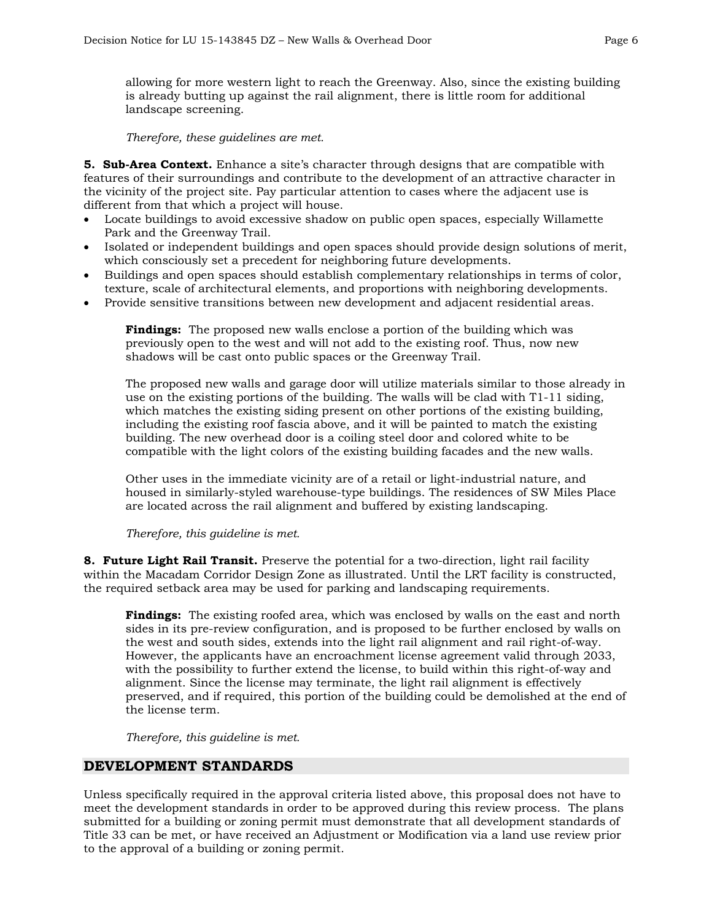allowing for more western light to reach the Greenway. Also, since the existing building is already butting up against the rail alignment, there is little room for additional landscape screening.

*Therefore, these guidelines are met.*

**5. Sub-Area Context.** Enhance a site's character through designs that are compatible with features of their surroundings and contribute to the development of an attractive character in the vicinity of the project site. Pay particular attention to cases where the adjacent use is different from that which a project will house.

- Locate buildings to avoid excessive shadow on public open spaces, especially Willamette Park and the Greenway Trail.
- Isolated or independent buildings and open spaces should provide design solutions of merit, which consciously set a precedent for neighboring future developments.
- Buildings and open spaces should establish complementary relationships in terms of color, texture, scale of architectural elements, and proportions with neighboring developments.
- Provide sensitive transitions between new development and adjacent residential areas.

**Findings:** The proposed new walls enclose a portion of the building which was previously open to the west and will not add to the existing roof. Thus, now new shadows will be cast onto public spaces or the Greenway Trail.

The proposed new walls and garage door will utilize materials similar to those already in use on the existing portions of the building. The walls will be clad with T1-11 siding, which matches the existing siding present on other portions of the existing building, including the existing roof fascia above, and it will be painted to match the existing building. The new overhead door is a coiling steel door and colored white to be compatible with the light colors of the existing building facades and the new walls.

Other uses in the immediate vicinity are of a retail or light-industrial nature, and housed in similarly-styled warehouse-type buildings. The residences of SW Miles Place are located across the rail alignment and buffered by existing landscaping.

*Therefore, this guideline is met.*

**8. Future Light Rail Transit.** Preserve the potential for a two-direction, light rail facility within the Macadam Corridor Design Zone as illustrated. Until the LRT facility is constructed, the required setback area may be used for parking and landscaping requirements.

**Findings:** The existing roofed area, which was enclosed by walls on the east and north sides in its pre-review configuration, and is proposed to be further enclosed by walls on the west and south sides, extends into the light rail alignment and rail right-of-way. However, the applicants have an encroachment license agreement valid through 2033, with the possibility to further extend the license, to build within this right-of-way and alignment. Since the license may terminate, the light rail alignment is effectively preserved, and if required, this portion of the building could be demolished at the end of the license term.

*Therefore, this guideline is met.*

# **DEVELOPMENT STANDARDS**

Unless specifically required in the approval criteria listed above, this proposal does not have to meet the development standards in order to be approved during this review process. The plans submitted for a building or zoning permit must demonstrate that all development standards of Title 33 can be met, or have received an Adjustment or Modification via a land use review prior to the approval of a building or zoning permit.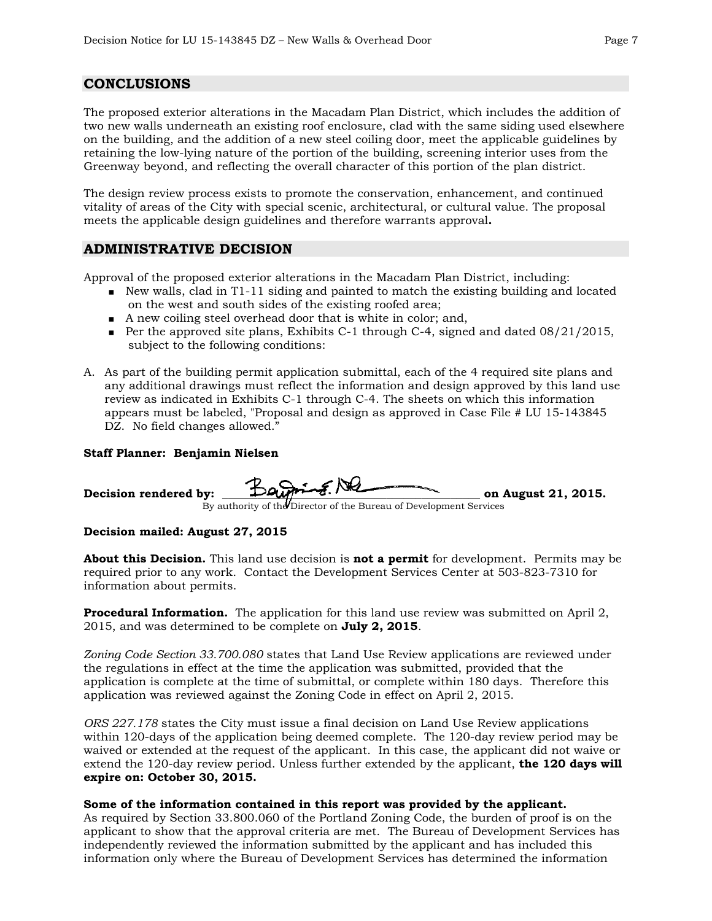# **CONCLUSIONS**

The proposed exterior alterations in the Macadam Plan District, which includes the addition of two new walls underneath an existing roof enclosure, clad with the same siding used elsewhere on the building, and the addition of a new steel coiling door, meet the applicable guidelines by retaining the low-lying nature of the portion of the building, screening interior uses from the Greenway beyond, and reflecting the overall character of this portion of the plan district.

The design review process exists to promote the conservation, enhancement, and continued vitality of areas of the City with special scenic, architectural, or cultural value. The proposal meets the applicable design guidelines and therefore warrants approval**.**

### **ADMINISTRATIVE DECISION**

Approval of the proposed exterior alterations in the Macadam Plan District, including:

- New walls, clad in T1-11 siding and painted to match the existing building and located on the west and south sides of the existing roofed area;
- A new coiling steel overhead door that is white in color; and,
- Per the approved site plans, Exhibits C-1 through C-4, signed and dated  $08/21/2015$ , subject to the following conditions:
- A. As part of the building permit application submittal, each of the 4 required site plans and any additional drawings must reflect the information and design approved by this land use review as indicated in Exhibits C-1 through C-4. The sheets on which this information appears must be labeled, "Proposal and design as approved in Case File # LU 15-143845 DZ. No field changes allowed."

#### **Staff Planner: Benjamin Nielsen**

Decision rendered by: **Way Protect Contract Contract Contract Contract Contract Contract Contract Contract Contract Contract Contract Contract Contract Contract Contract Contract Contract Contract Contract Contract Contrac** 

By authority of th $\boldsymbol{\theta}$ Director of the Bureau of Development Services

#### **Decision mailed: August 27, 2015**

**About this Decision.** This land use decision is **not a permit** for development. Permits may be required prior to any work. Contact the Development Services Center at 503-823-7310 for information about permits.

**Procedural Information.** The application for this land use review was submitted on April 2, 2015, and was determined to be complete on **July 2, 2015**.

*Zoning Code Section 33.700.080* states that Land Use Review applications are reviewed under the regulations in effect at the time the application was submitted, provided that the application is complete at the time of submittal, or complete within 180 days. Therefore this application was reviewed against the Zoning Code in effect on April 2, 2015.

*ORS 227.178* states the City must issue a final decision on Land Use Review applications within 120-days of the application being deemed complete. The 120-day review period may be waived or extended at the request of the applicant. In this case, the applicant did not waive or extend the 120-day review period. Unless further extended by the applicant, **the 120 days will expire on: October 30, 2015.**

#### **Some of the information contained in this report was provided by the applicant.**

As required by Section 33.800.060 of the Portland Zoning Code, the burden of proof is on the applicant to show that the approval criteria are met. The Bureau of Development Services has independently reviewed the information submitted by the applicant and has included this information only where the Bureau of Development Services has determined the information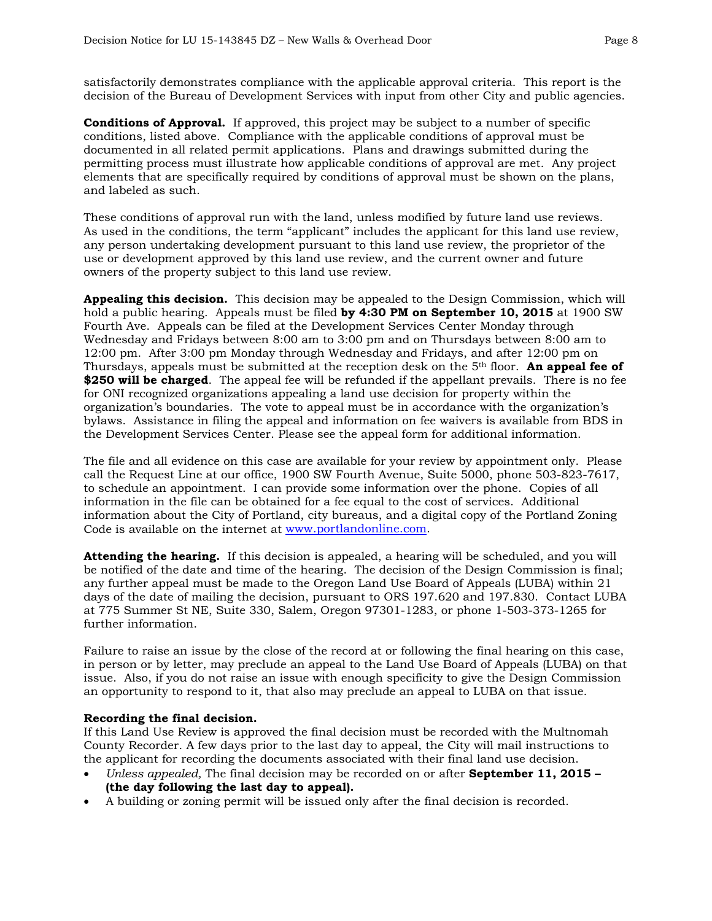satisfactorily demonstrates compliance with the applicable approval criteria. This report is the decision of the Bureau of Development Services with input from other City and public agencies.

**Conditions of Approval.** If approved, this project may be subject to a number of specific conditions, listed above. Compliance with the applicable conditions of approval must be documented in all related permit applications. Plans and drawings submitted during the permitting process must illustrate how applicable conditions of approval are met. Any project elements that are specifically required by conditions of approval must be shown on the plans, and labeled as such.

These conditions of approval run with the land, unless modified by future land use reviews. As used in the conditions, the term "applicant" includes the applicant for this land use review, any person undertaking development pursuant to this land use review, the proprietor of the use or development approved by this land use review, and the current owner and future owners of the property subject to this land use review.

**Appealing this decision.** This decision may be appealed to the Design Commission, which will hold a public hearing. Appeals must be filed **by 4:30 PM on September 10, 2015** at 1900 SW Fourth Ave. Appeals can be filed at the Development Services Center Monday through Wednesday and Fridays between 8:00 am to 3:00 pm and on Thursdays between 8:00 am to 12:00 pm. After 3:00 pm Monday through Wednesday and Fridays, and after 12:00 pm on Thursdays, appeals must be submitted at the reception desk on the 5th floor. **An appeal fee of \$250 will be charged**. The appeal fee will be refunded if the appellant prevails. There is no fee for ONI recognized organizations appealing a land use decision for property within the organization's boundaries. The vote to appeal must be in accordance with the organization's bylaws. Assistance in filing the appeal and information on fee waivers is available from BDS in the Development Services Center. Please see the appeal form for additional information.

The file and all evidence on this case are available for your review by appointment only. Please call the Request Line at our office, 1900 SW Fourth Avenue, Suite 5000, phone 503-823-7617, to schedule an appointment. I can provide some information over the phone. Copies of all information in the file can be obtained for a fee equal to the cost of services. Additional information about the City of Portland, city bureaus, and a digital copy of the Portland Zoning Code is available on the internet at [www.portlandonline.com.](http://www.ci.portland.or.us/)

**Attending the hearing.** If this decision is appealed, a hearing will be scheduled, and you will be notified of the date and time of the hearing. The decision of the Design Commission is final; any further appeal must be made to the Oregon Land Use Board of Appeals (LUBA) within 21 days of the date of mailing the decision, pursuant to ORS 197.620 and 197.830. Contact LUBA at 775 Summer St NE, Suite 330, Salem, Oregon 97301-1283, or phone 1-503-373-1265 for further information.

Failure to raise an issue by the close of the record at or following the final hearing on this case, in person or by letter, may preclude an appeal to the Land Use Board of Appeals (LUBA) on that issue. Also, if you do not raise an issue with enough specificity to give the Design Commission an opportunity to respond to it, that also may preclude an appeal to LUBA on that issue.

#### **Recording the final decision.**

If this Land Use Review is approved the final decision must be recorded with the Multnomah County Recorder. A few days prior to the last day to appeal, the City will mail instructions to the applicant for recording the documents associated with their final land use decision.

- *Unless appealed,* The final decision may be recorded on or after **September 11, 2015 – (the day following the last day to appeal).**
- A building or zoning permit will be issued only after the final decision is recorded.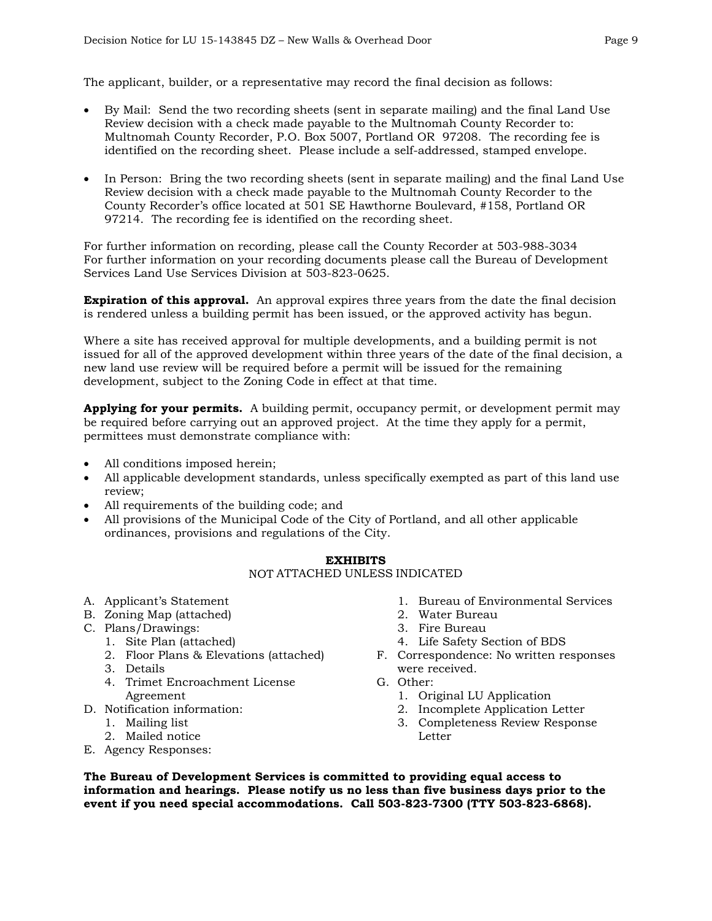The applicant, builder, or a representative may record the final decision as follows:

- By Mail: Send the two recording sheets (sent in separate mailing) and the final Land Use Review decision with a check made payable to the Multnomah County Recorder to: Multnomah County Recorder, P.O. Box 5007, Portland OR 97208. The recording fee is identified on the recording sheet. Please include a self-addressed, stamped envelope.
- In Person: Bring the two recording sheets (sent in separate mailing) and the final Land Use Review decision with a check made payable to the Multnomah County Recorder to the County Recorder's office located at 501 SE Hawthorne Boulevard, #158, Portland OR 97214. The recording fee is identified on the recording sheet.

For further information on recording, please call the County Recorder at 503-988-3034 For further information on your recording documents please call the Bureau of Development Services Land Use Services Division at 503-823-0625.

**Expiration of this approval.** An approval expires three years from the date the final decision is rendered unless a building permit has been issued, or the approved activity has begun.

Where a site has received approval for multiple developments, and a building permit is not issued for all of the approved development within three years of the date of the final decision, a new land use review will be required before a permit will be issued for the remaining development, subject to the Zoning Code in effect at that time.

**Applying for your permits.** A building permit, occupancy permit, or development permit may be required before carrying out an approved project. At the time they apply for a permit, permittees must demonstrate compliance with:

- All conditions imposed herein;
- All applicable development standards, unless specifically exempted as part of this land use review;
- All requirements of the building code; and
- All provisions of the Municipal Code of the City of Portland, and all other applicable ordinances, provisions and regulations of the City.

#### **EXHIBITS**

#### NOT ATTACHED UNLESS INDICATED

- A. Applicant's Statement
- B. Zoning Map (attached)
- C. Plans/Drawings:
	- 1. Site Plan (attached)
	- 2. Floor Plans & Elevations (attached)
	- 3. Details
	- 4. Trimet Encroachment License Agreement
- D. Notification information:
	- 1. Mailing list
	- 2. Mailed notice
- E. Agency Responses:
- 1. Bureau of Environmental Services
- 2. Water Bureau
- 3. Fire Bureau
- 4. Life Safety Section of BDS
- F. Correspondence: No written responses were received.
	- G. Other:
		- 1. Original LU Application
		- 2. Incomplete Application Letter
		- 3. Completeness Review Response Letter

**The Bureau of Development Services is committed to providing equal access to information and hearings. Please notify us no less than five business days prior to the event if you need special accommodations. Call 503-823-7300 (TTY 503-823-6868).**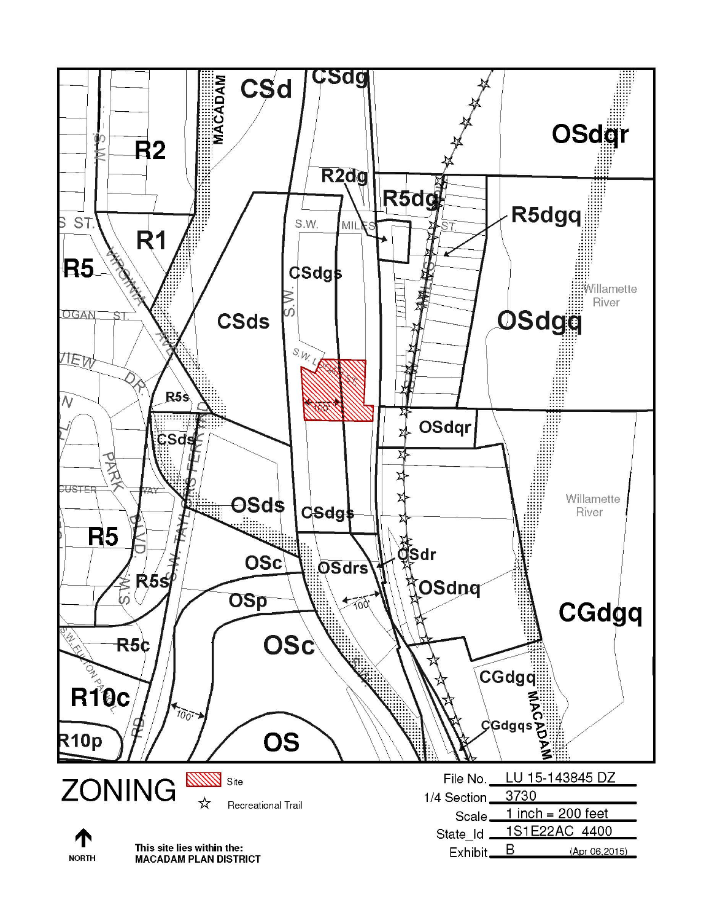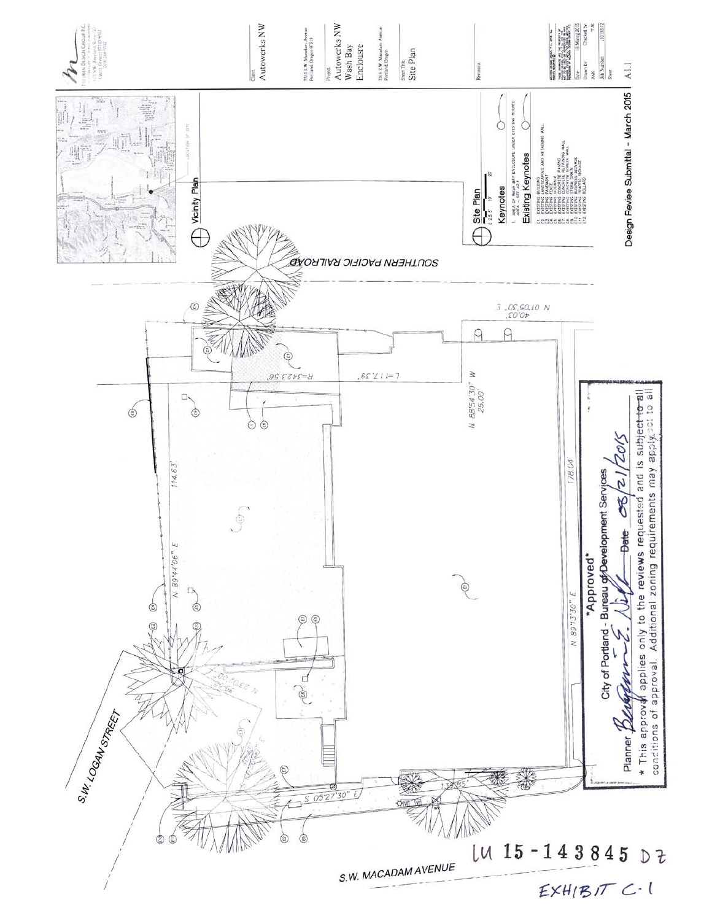